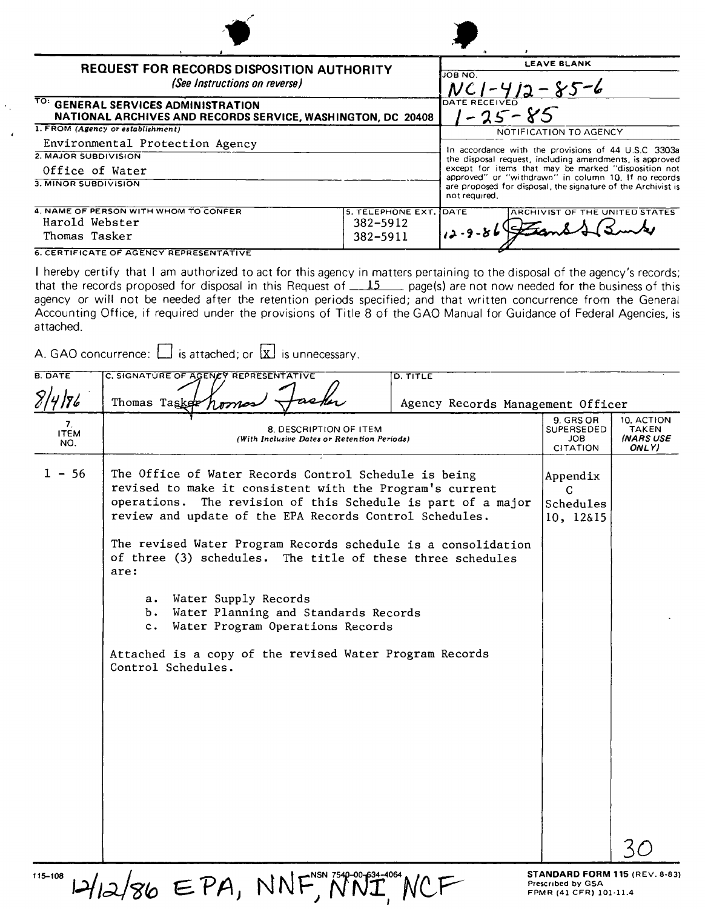| <b>REQUEST FOR RECORDS DISPOSITION AUTHORITY</b><br>(See Instructions on reverse)                  |                        | <b>LEAVE BLANK</b><br>JOB NO.<br>$NC1 - 412 - 85 - 6$                                                                                 |
|----------------------------------------------------------------------------------------------------|------------------------|---------------------------------------------------------------------------------------------------------------------------------------|
| TO: GENERAL SERVICES ADMINISTRATION<br>NATIONAL ARCHIVES AND RECORDS SERVICE, WASHINGTON, DC 20408 |                        | DATE RECEIVED<br>$1 - 25 - 85$                                                                                                        |
| 1. FROM (Agency or establishment)                                                                  |                        | NOTIFICATION TO AGENCY                                                                                                                |
| Environmental Protection Agency                                                                    |                        |                                                                                                                                       |
| 2. MAJOR SUBDIVISION                                                                               |                        | In accordance with the provisions of 44 U.S.C 3303a<br>the disposal request, including amendments, is approved                        |
| Office of Water                                                                                    |                        | except for items that may be marked "disposition not                                                                                  |
| 3. MINOR SUBDIVISION                                                                               |                        | approved" or "withdrawn" in column 10. If no records<br>are proposed for disposal, the signature of the Archivist is<br>not required. |
| 4. NAME OF PERSON WITH WHOM TO CONFER                                                              | 5. TELEPHONE EXT. DATE | ARCHIVIST OF THE UNITED STATES                                                                                                        |
| Harold Webster                                                                                     | 382-5912               |                                                                                                                                       |
| Thomas Tasker                                                                                      | 382-5911               |                                                                                                                                       |

**6. CERTIFICATE OF AGENCY REPRESENTATIVE** 

I hereby certify that I am authorized to act for this agency in matters pertaining to the disposal of the agency's records; that the records proposed for disposal in this Request of  $15$  page(s) are not now needed for the business of this agency or will not be needed after the retention periods specified; and that written concurrence from the General Accounting Office, if required under the provisions of Title 8 of the GAO Manual for Guidance of Federal Agencies. is attached.

A. GAO concurrence:  $\Box$  is attached; or  $\Box$  is unnecessary.

| <b>B. DATE</b><br>2/4/86 | C. SIGNATURE OF AGENCY REPRESENTATIVE<br>D. TITLE<br>Thomas Taske<br>Agency Records Management Officer                                                                                                                                                                                                                                                                                                                                                                                                                                                                                             |                                                                                     |                                           |
|--------------------------|----------------------------------------------------------------------------------------------------------------------------------------------------------------------------------------------------------------------------------------------------------------------------------------------------------------------------------------------------------------------------------------------------------------------------------------------------------------------------------------------------------------------------------------------------------------------------------------------------|-------------------------------------------------------------------------------------|-------------------------------------------|
| 7.<br><b>ITEM</b><br>NO. | 8. DESCRIPTION OF ITEM<br>(With Inclusive Dates or Retention Periods)                                                                                                                                                                                                                                                                                                                                                                                                                                                                                                                              | 9. GRS OR<br>SUPERSEDED<br><b>JOB</b><br>CITATION                                   | 10. ACTION<br>TAKEN<br>(NARS USE<br>ONLY) |
| $1 - 56$                 | The Office of Water Records Control Schedule is being<br>revised to make it consistent with the Program's current<br>operations. The revision of this Schedule is part of a major<br>review and update of the EPA Records Control Schedules.<br>The revised Water Program Records schedule is a consolidation<br>of three (3) schedules. The title of these three schedules<br>are:<br>Water Supply Records<br>а.<br>b. Water Planning and Standards Records<br>Water Program Operations Records<br>$c_{\bullet}$<br>Attached is a copy of the revised Water Program Records<br>Control Schedules. | Appendix<br>C.<br>Schedules<br>10, 12&15                                            |                                           |
| 115-108                  | $2/86$ EPA, NNF                                                                                                                                                                                                                                                                                                                                                                                                                                                                                                                                                                                    | <b>STANDARD FORM 115 (REV. 8-83)</b><br>Prescribed by GSA<br>FPMR (41 CFR) 101-11.4 |                                           |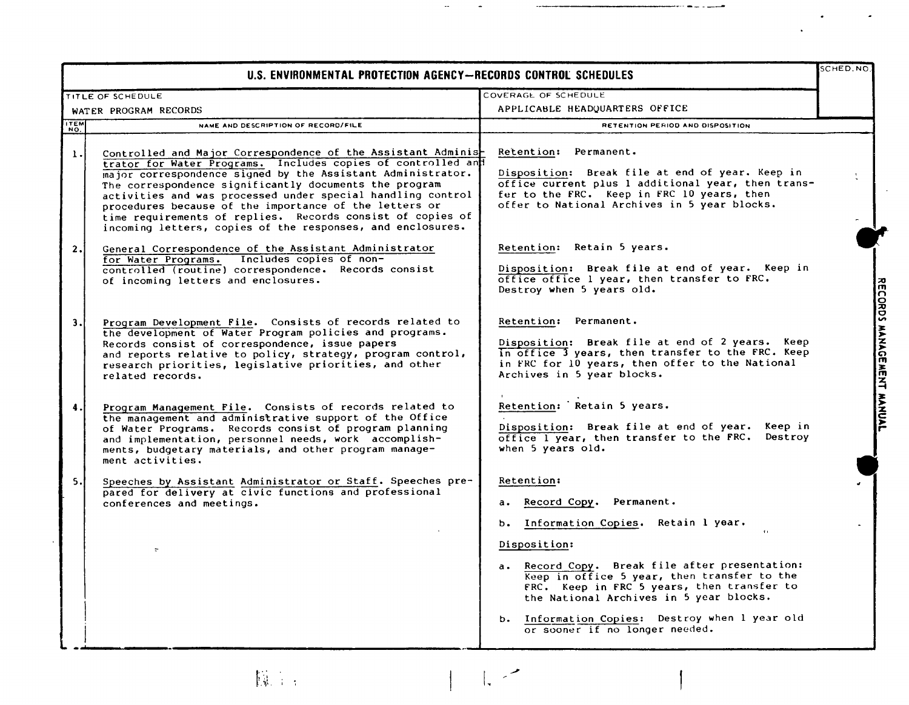| U.S. ENVIRONMENTAL PROTECTION AGENCY-RECORDS CONTROL SCHEDULES |                                                                                                                                                                                                                                                                                                                                                                                                                                                                                                             | SCHED.NO                                                                                                                                                                                                                                                                                                                                                                               |                           |
|----------------------------------------------------------------|-------------------------------------------------------------------------------------------------------------------------------------------------------------------------------------------------------------------------------------------------------------------------------------------------------------------------------------------------------------------------------------------------------------------------------------------------------------------------------------------------------------|----------------------------------------------------------------------------------------------------------------------------------------------------------------------------------------------------------------------------------------------------------------------------------------------------------------------------------------------------------------------------------------|---------------------------|
|                                                                | TITLE OF SCHEDULE                                                                                                                                                                                                                                                                                                                                                                                                                                                                                           | COVERAGE OF SCHEDULE                                                                                                                                                                                                                                                                                                                                                                   |                           |
|                                                                | WATER PROGRAM RECORDS                                                                                                                                                                                                                                                                                                                                                                                                                                                                                       | APPLICABLE HEADQUARTERS OFFICE                                                                                                                                                                                                                                                                                                                                                         |                           |
| ITEM                                                           | NAME AND DESCRIPTION OF RECORD/FILE                                                                                                                                                                                                                                                                                                                                                                                                                                                                         | RETENTION PERIOD AND DISPOSITION                                                                                                                                                                                                                                                                                                                                                       |                           |
| 1.                                                             | Controlled and Major Correspondence of the Assistant Adminis-<br>trator for Water Programs. Includes copies of controlled and<br>major correspondence signed by the Assistant Administrator.<br>The correspondence significantly documents the program<br>activities and was processed under special handling control<br>procedures because of the importance of the letters or<br>time requirements of replies. Records consist of copies of<br>incoming letters, copies of the responses, and enclosures. | Retention: Permanent.<br>Disposition: Break file at end of year. Keep in<br>office current plus 1 additional year, then trans-<br>fer to the FRC. Keep in FRC 10 years, then<br>offer to National Archives in 5 year blocks.                                                                                                                                                           |                           |
| 2.1                                                            | General Correspondence of the Assistant Administrator<br>for Water Programs. Includes copies of non-<br>controlled (routine) correspondence. Records consist<br>of incoming letters and enclosures.                                                                                                                                                                                                                                                                                                         | Retention: Retain 5 years.<br>Disposition: Break file at end of year. Keep in<br>office office 1 year, then transfer to FRC.<br>Destroy when 5 years old.                                                                                                                                                                                                                              |                           |
| 3.1                                                            | Program Development File. Consists of records related to<br>the development of Water Program policies and programs.<br>Records consist of correspondence, issue papers<br>and reports relative to policy, strategy, program control,<br>research priorities, legislative priorities, and other<br>related records.                                                                                                                                                                                          | Retention: Permanent.<br>Disposition: Break file at end of 2 years. Keep<br>in office 3 years, then transfer to the FRC. Keep<br>in FRC for 10 years, then offer to the National<br>Archives in 5 year blocks.                                                                                                                                                                         | RECORDS MANAGEMENT MANUAL |
| 4.                                                             | Program Management File. Consists of records related to<br>the management and administrative support of the Office<br>of Water Programs. Records consist of program planning<br>and implementation, personnel needs, work accomplish-<br>ments, budgetary materials, and other program manage-<br>ment activities.                                                                                                                                                                                          | Retention: Retain 5 years.<br>Disposition: Break file at end of year. Keep in<br>office I year, then transfer to the FRC. Destroy<br>when 5 years old.                                                                                                                                                                                                                                 |                           |
| 5.I                                                            | Speeches by Assistant Administrator or Staff. Speeches pre-<br>pared for delivery at civic functions and professional<br>conferences and meetings.                                                                                                                                                                                                                                                                                                                                                          | <b>Retention:</b><br>a. Record Copy. Permanent.<br>b. Information Copies. Retain 1 year.<br>Disposition:<br>a. Record Copy. Break file after presentation:<br>Keep in office 5 year, then transfer to the<br>FRC. Keep in FRC 5 years, then transfer to<br>the National Archives in 5 year blocks.<br>b. Information Copies: Destroy when I year old<br>or sooner if no longer needed. |                           |

I The second term in the second term in the second term in the second term in the second term in the second term in the second term in the second term in the second term in the second term in the second term in the second

.\_----------\_ ..-- --~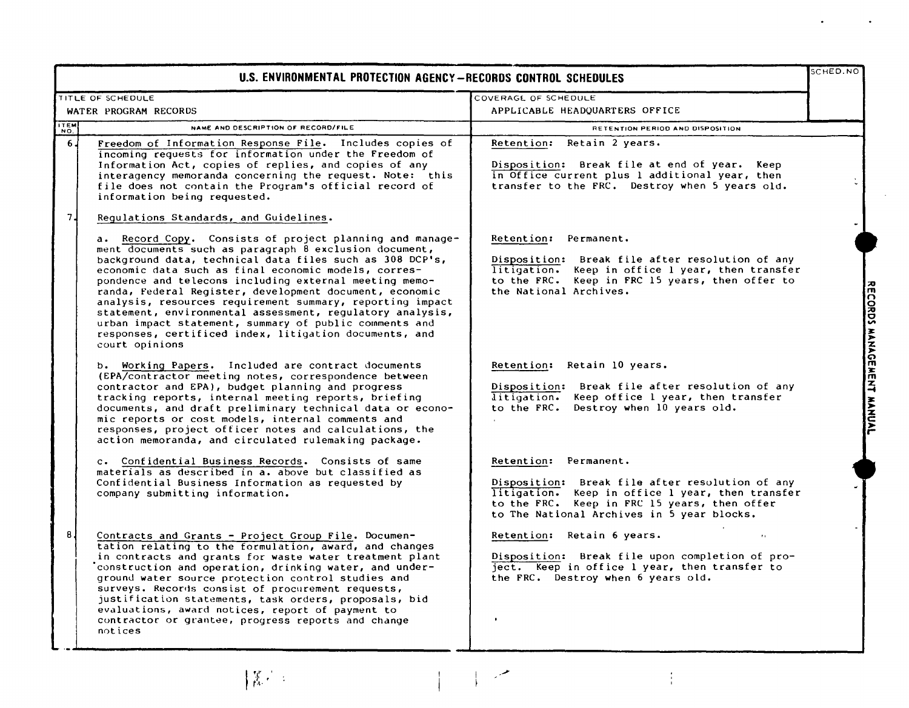|                   | U.S. ENVIRONMENTAL PROTECTION AGENCY-RECORDS CONTROL SCHEDULES                                                                                                                                                                                                                                                                                                                                                                                                                                                                                                                                                              |                                                                                                                                                                                                                    | SCHED.NO                  |
|-------------------|-----------------------------------------------------------------------------------------------------------------------------------------------------------------------------------------------------------------------------------------------------------------------------------------------------------------------------------------------------------------------------------------------------------------------------------------------------------------------------------------------------------------------------------------------------------------------------------------------------------------------------|--------------------------------------------------------------------------------------------------------------------------------------------------------------------------------------------------------------------|---------------------------|
|                   | TITLE OF SCHEDULE                                                                                                                                                                                                                                                                                                                                                                                                                                                                                                                                                                                                           | COVERAGE OF SCHEDULE                                                                                                                                                                                               |                           |
|                   | WATER PROGRAM RECORDS                                                                                                                                                                                                                                                                                                                                                                                                                                                                                                                                                                                                       | APPLICABLE HEADOUARTERS OFFICE                                                                                                                                                                                     |                           |
| <b>TEM</b><br>NO. | NAME AND DESCRIPTION OF RECORD/FILE                                                                                                                                                                                                                                                                                                                                                                                                                                                                                                                                                                                         | RETENTION PERIOD AND DISPOSITION                                                                                                                                                                                   |                           |
| 6 <sub>1</sub>    | Freedom of Information Response File. Includes copies of<br>incoming requests for information under the Freedom of<br>Information Act, copies of replies, and copies of any<br>interagency memoranda concerning the request. Note: this<br>file does not contain the Program's official record of<br>information being requested.                                                                                                                                                                                                                                                                                           | Retention: Retain 2 years.<br>Disposition: Break file at end of year. Keep<br>in Office current plus 1 additional year, then<br>transfer to the FRC. Destroy when 5 years old.                                     |                           |
| 7 <sub>1</sub>    | Requlations Standards, and Guidelines.                                                                                                                                                                                                                                                                                                                                                                                                                                                                                                                                                                                      |                                                                                                                                                                                                                    |                           |
|                   | a. Record Copy. Consists of project planning and manage-<br>ment documents such as paragraph 8 exclusion document,<br>background data, technical data files such as 308 DCP's,<br>economic data such as final economic models, corres-<br>pondence and telecons including external meeting memo-<br>randa, Federal Register, development document, economic<br>analysis, resources requirement summary, reporting impact<br>statement, environmental assessment, regulatory analysis,<br>urban impact statement, summary of public comments and<br>responses, certificed index, litigation documents, and<br>court opinions | Retention: Permanent.<br>Disposition: Break file after resolution of any<br>litigation. Keep in office 1 year, then transfer<br>to the FRC. Keep in FRC 15 years, then offer to<br>the National Archives.          |                           |
|                   | b. Working Papers. Included are contract documents<br>(EPA/contractor meeting notes, correspondence between<br>contractor and EPA), budget planning and progress<br>tracking reports, internal meeting reports, briefing<br>documents, and draft preliminary technical data or econo-<br>mic reports or cost models, internal comments and<br>responses, project officer notes and calculations, the<br>action memoranda, and circulated rulemaking package.                                                                                                                                                                | Retention: Retain 10 years.<br>Disposition: Break file after resolution of any<br>litigation. Keep office 1 year, then transfer<br>to the FRC. Destroy when 10 years old.                                          | RECORDS MANAGEMENT MANUAL |
|                   | c. Confidential Business Records. Consists of same<br>materials as described in a. above but classified as<br>Confidential Business Information as requested by<br>company submitting information.                                                                                                                                                                                                                                                                                                                                                                                                                          | Retention: Permanent.<br>Disposition: Break file after resolution of any<br>litigation. Keep in office 1 year, then transfer<br>to the FRC. Keep in FRC 15 years, then offer                                       |                           |
| 8 <sub>1</sub>    | Contracts and Grants - Project Group File. Documen-<br>tation relating to the formulation, award, and changes<br>in contracts and grants for waste water treatment plant<br>construction and operation, drinking water, and under-<br>ground water source protection control studies and<br>surveys. Records consist of procurement requests,<br>justification statements, task orders, proposals, bid<br>evaluations, award notices, report of payment to<br>contractor or grantee, progress reports and change<br>notices                                                                                                 | to The National Archives in 5 year blocks.<br>Retention: Retain 6 years.<br>Disposition: Break file upon completion of pro-<br>ject. Keep in office 1 year, then transfer to<br>the FRC. Destroy when 6 years old. |                           |

 $\overline{1}$ 

 $\frac{1}{1}$ 

 $\frac{1}{4}$ 

 $\left\Vert \begin{matrix} \mathbf{X}^{(1)} \\ \mathbf{0}^{(2)} \end{matrix} \right\Vert$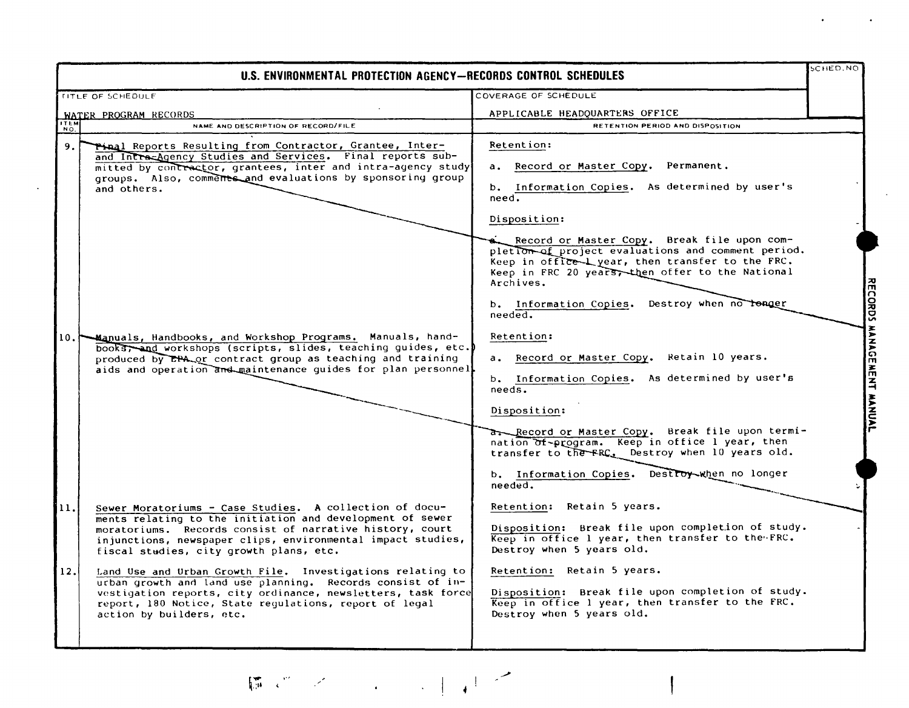| U.S. ENVIRONMENTAL PROTECTION AGENCY-RECORDS CONTROL SCHEDULES                                                                                                                                                                                                                                                                                                                                                                                                                                                                                                                             |                                                                                                                                                                                                                                                                                                                                                                                                                                                                                                                                                                     | SCHED.NO                            |
|--------------------------------------------------------------------------------------------------------------------------------------------------------------------------------------------------------------------------------------------------------------------------------------------------------------------------------------------------------------------------------------------------------------------------------------------------------------------------------------------------------------------------------------------------------------------------------------------|---------------------------------------------------------------------------------------------------------------------------------------------------------------------------------------------------------------------------------------------------------------------------------------------------------------------------------------------------------------------------------------------------------------------------------------------------------------------------------------------------------------------------------------------------------------------|-------------------------------------|
| <b>TITLE OF SCHEDULE</b>                                                                                                                                                                                                                                                                                                                                                                                                                                                                                                                                                                   | COVERAGE OF SCHEDULE                                                                                                                                                                                                                                                                                                                                                                                                                                                                                                                                                |                                     |
| WATER PROGRAM RECORDS                                                                                                                                                                                                                                                                                                                                                                                                                                                                                                                                                                      | APPLICABLE HEADQUARTERS OFFICE                                                                                                                                                                                                                                                                                                                                                                                                                                                                                                                                      |                                     |
| Гітем<br>NAME AND DESCRIPTION OF RECORD/FILE<br>NO.                                                                                                                                                                                                                                                                                                                                                                                                                                                                                                                                        | RETENTION PERIOD AND DISPOSITION                                                                                                                                                                                                                                                                                                                                                                                                                                                                                                                                    |                                     |
| Tinal Reports Resulting from Contractor, Grantee, Inter-<br>9.<br>and Intra-Agency Studies and Services. Final reports sub-<br>mitted by contractor, grantees, inter and intra-agency study<br>groups. Also, comments and evaluations by sponsoring group<br>and others.<br>10. Manuals, Handbooks, and Workshop Programs. Manuals, hand-<br>books, and workshops (scripts, slides, teaching guides, etc.<br>produced by EPA or contract group as teaching and training<br>aids and operation and maintenance guides for plan personnel                                                    | Retention:<br>a, Record or Master Copy.<br>Permanent.<br>b. Information Copies. As determined by user's<br>need.<br>Disposition:<br>when Record or Master Copy. Break file upon com-<br>pletion of project evaluations and comment period.<br>Keep in office Lyear, then transfer to the FRC.<br>Keep in FRC 20 years, then offer to the National<br>Archives.<br>b. Information Copies. Destroy when no tenger<br>$need$ .<br>Retention:<br>a. Record or Master Copy. Retain 10 years.<br>b. Information Copies. As determined by user's<br>needs.<br>Disposition: | <b>RECORDS</b><br>MANAGEMENT MANUAL |
| Sewer Moratoriums - Case Studies. A collection of docu-<br>11.<br>ments relating to the initiation and development of sewer<br>moratoriums. Records consist of narrative history, court<br>injunctions, newspaper clips, environmental impact studies,<br>fiscal studies, city growth plans, etc.<br>Land Use and Urban Growth File. Investigations relating to<br>12.<br>urban growth and land use planning. Records consist of in-<br>vestigation reports, city ordinance, newsletters, task force<br>report, 180 Notice, State regulations, report of legal<br>action by builders, etc. | Record or Master Copy. Break file upon termi-<br>nation of-program. Keep in office 1 year, then<br>transfer to the FRC. Destroy when 10 years old.<br>b. Information Copies. Destroy when no longer<br>$need$ .<br>Retention: Retain 5 years.<br>Disposition: Break file upon completion of study.<br>Keep in office 1 year, then transfer to the FRC.<br>Destroy when 5 years old.<br>Retention: Retain 5 years.<br>Disposition: Break file upon completion of study.<br>Keep in office 1 year, then transfer to the FRC.<br>Destroy when 5 years old.             |                                     |

 $\begin{picture}(130,10) \put(0,0){\vector(1,0){10}} \put(15,0){\vector(1,0){10}} \put(15,0){\vector(1,0){10}} \put(15,0){\vector(1,0){10}} \put(15,0){\vector(1,0){10}} \put(15,0){\vector(1,0){10}} \put(15,0){\vector(1,0){10}} \put(15,0){\vector(1,0){10}} \put(15,0){\vector(1,0){10}} \put(15,0){\vector(1,0){10}} \put(15,0){\vector(1,0){10}} \put(15,0){\vector($ 

 $\sim$   $\sim$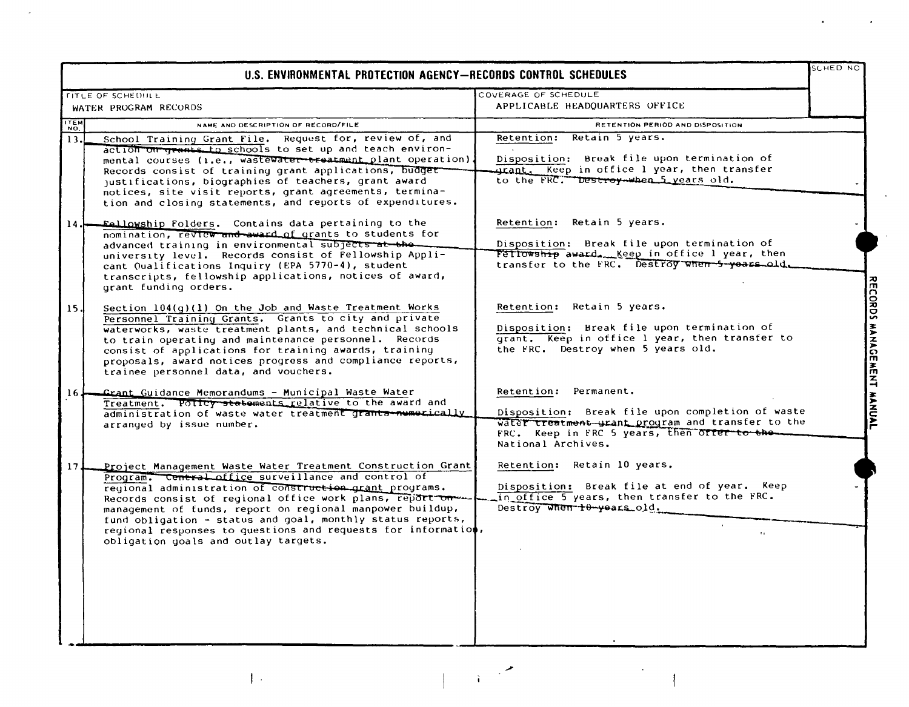|                 | U.S. ENVIRONMENTAL PROTECTION AGENCY-RECORDS CONTROL SCHEDULES                                                                                                                                                                                                                                                                                                                                                                                                                |                                                                                                                                                                                                     | SCHED NO                  |
|-----------------|-------------------------------------------------------------------------------------------------------------------------------------------------------------------------------------------------------------------------------------------------------------------------------------------------------------------------------------------------------------------------------------------------------------------------------------------------------------------------------|-----------------------------------------------------------------------------------------------------------------------------------------------------------------------------------------------------|---------------------------|
|                 | <b>TITLE OF SCHEDULL</b>                                                                                                                                                                                                                                                                                                                                                                                                                                                      | COVERAGE OF SCHEDULE                                                                                                                                                                                |                           |
|                 | WATER PROGRAM RECORDS                                                                                                                                                                                                                                                                                                                                                                                                                                                         | APPLICABLE HEADQUARTERS OFFICE                                                                                                                                                                      |                           |
| <b>TTEM</b>     | NAME AND DESCRIPTION OF RECORD/FILE                                                                                                                                                                                                                                                                                                                                                                                                                                           | RETENTION PERIOD AND DISPOSITION                                                                                                                                                                    |                           |
| 13.             | School Training Grant File. Request for, review of, and<br>action on greats to schools to set up and teach environ-<br>mental courses (i.e., wastewater treatment plant operation).<br>Records consist of training grant applications, budget<br>justifications, biographies of teachers, grant award<br>notices, site visit reports, grant agreements, termina-<br>tion and closing statements, and reports of expenditures.                                                 | Retention: Retain 5 years.<br>Disposition: Break file upon termination of<br>urant. Keep in office 1 year, then transfer<br>to the FRC. Destroy-when 5 years old.                                   |                           |
| 14 J            | <b>Fellowship Folders.</b> Contains data pertaining to the<br>nomination, review and award of grants to students for<br>advanced training in environmental subjects at the.<br>university level. Records consist of Fellowship Appli-<br>cant Qualifications Inquiry (EPA 5770-4), student<br>transcripts, fellowship applications, notices of award,<br>grant funding orders.                                                                                                | Retention: Retain 5 years.<br>Disposition: Break file upon termination of<br>Fellowship award. Keep in office 1 year, then<br>transfer to the FRC. Destroy when 5-years old.                        |                           |
| 15.             | Section 104(g)(1) On the Job and Waste Treatment Works<br>Personnel Training Grants. Grants to city and private<br>waterworks, waste treatment plants, and technical schools<br>to train operating and maintenance personnel. Records<br>consist of applications for training awards, training<br>proposals, award notices progress and compliance reports,<br>trainee personnel data, and vouchers.                                                                          | Retention: Retain 5 years.<br>Disposition: Break file upon termination of<br>grant. Keep in office 1 year, then transfer to<br>the FRC. Destroy when 5 years old.                                   | RECORDS MANAGEMENT MANUAL |
| 16J             | Crant_Guidance Memorandums - Municipal Waste Water<br>Treatment. Policy statements relative to the award and<br>administration of waste water treatment grants-numerically<br>arranged by issue number.                                                                                                                                                                                                                                                                       | Retention: Permanent.<br>Disposition: Break file upon completion of waste<br>water treatment grant program and transfer to the<br>FRC. Keep in FRC 5 years, then offer to the<br>National Archives. |                           |
| 17 <sub>1</sub> | Project Management Waste Water Treatment Construction Grant<br>Program. Central office surveillance and control of<br>regional administration of construction grant programs.<br>Records consist of regional office work plans, report on<br>management of funds, report on regional manpower buildup,<br>fund obligation - status and goal, monthly status reports,<br>regional responses to questions and requests for information,<br>obligation goals and outlay targets. | Retention: Retain 10 years.<br>Disposition: Break file at end of year. Keep<br>in office 5 years, then transfer to the FRC.<br>Destroy When +0-years old.<br>$\mathbf{r}_1$                         |                           |

 $\mathcal{L}(\mathcal{L}(\mathcal{L}))$  . The set of  $\mathcal{L}(\mathcal{L})$  and  $\mathcal{L}(\mathcal{L})$ 

 $\mathbf{I}$  .

 $\mathcal{L}^{\text{max}}_{\text{max}}$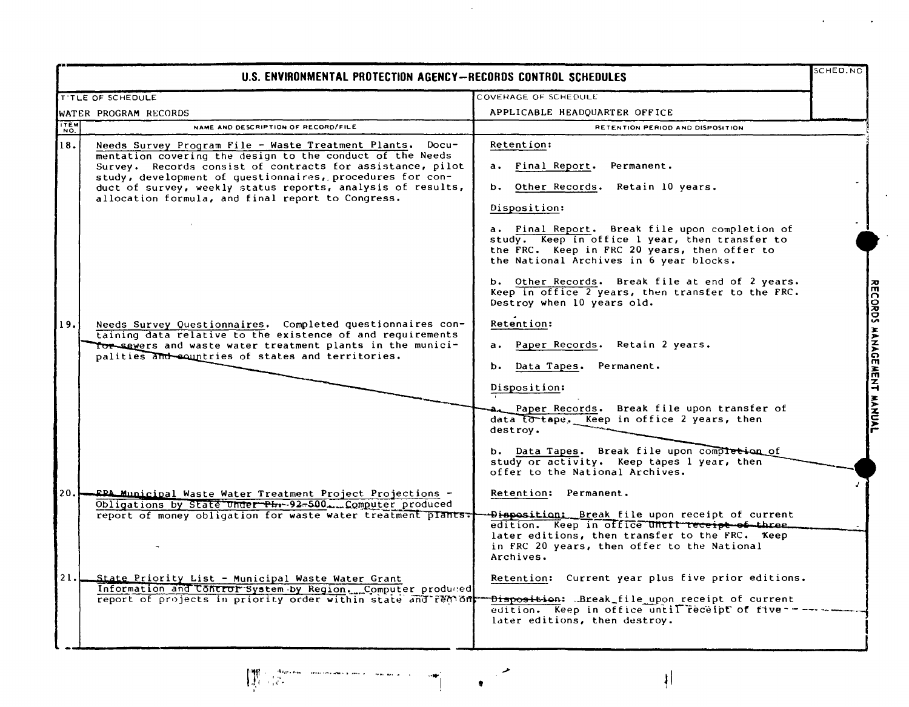|             | U.S. ENVIRONMENTAL PROTECTION AGENCY-RECORDS CONTROL SCHEDULES                                                                                                                                                                                                                                                                                                                                                                                                                                                                                                                                                       |                                                                                                                                                                                                                                                                                                                                                                                                                                                                                                                                                                                                                                                                                                                                               |                           |
|-------------|----------------------------------------------------------------------------------------------------------------------------------------------------------------------------------------------------------------------------------------------------------------------------------------------------------------------------------------------------------------------------------------------------------------------------------------------------------------------------------------------------------------------------------------------------------------------------------------------------------------------|-----------------------------------------------------------------------------------------------------------------------------------------------------------------------------------------------------------------------------------------------------------------------------------------------------------------------------------------------------------------------------------------------------------------------------------------------------------------------------------------------------------------------------------------------------------------------------------------------------------------------------------------------------------------------------------------------------------------------------------------------|---------------------------|
|             | <b>T'TLE OF SCHEDULE</b>                                                                                                                                                                                                                                                                                                                                                                                                                                                                                                                                                                                             | COVERAGE OF SCHEDULE                                                                                                                                                                                                                                                                                                                                                                                                                                                                                                                                                                                                                                                                                                                          |                           |
|             | WATER PROGRAM RECORDS                                                                                                                                                                                                                                                                                                                                                                                                                                                                                                                                                                                                | APPLICABLE HEADQUARTER OFFICE                                                                                                                                                                                                                                                                                                                                                                                                                                                                                                                                                                                                                                                                                                                 |                           |
| <b>TTEM</b> | NAME AND DESCRIPTION OF RECORD/FILE                                                                                                                                                                                                                                                                                                                                                                                                                                                                                                                                                                                  | RETENTION PERIOD AND DISPOSITION                                                                                                                                                                                                                                                                                                                                                                                                                                                                                                                                                                                                                                                                                                              |                           |
| 18.<br>19.  | Needs Survey Program File - Waste Treatment Plants. Docu-<br>mentation covering the design to the conduct of the Needs<br>Survey. Records consist of contracts for assistance, pilot<br>study, development of questionnaires, procedures for con-<br>duct of survey, weekly status reports, analysis of results,<br>allocation formula, and final report to Congress.<br>Needs Survey Questionnaires. Completed questionnaires con-<br>taining data relative to the existence of and requirements<br>Tor severs and waste water treatment plants in the munici-<br>palities and countries of states and territories. | Retention:<br>a. Final Report. Permanent.<br>b. Other Records. Retain 10 years.<br>Disposition:<br>a. Final Report. Break file upon completion of<br>study. Keep in office 1 year, then transfer to<br>the FRC. Keep in FRC 20 years, then offer to<br>the National Archives in 6 year blocks.<br>b. Other Records. Break file at end of 2 years.<br>Keep in office 2 years, then transfer to the FRC.<br>Destroy when 10 years old.<br>Retention:<br>a. Paper Records. Retain 2 years.<br>b. Data Tapes.<br>Permanent.<br>Disposition:<br>Paper Records. Break file upon transfer of<br>data to tape. Keep in office 2 years, then<br>destrov.<br>b. Data Tapes. Break file upon completion of<br>study or activity. Keep tapes 1 year, then | RECORDS MANAGEMENT MANUAL |
| 20.1        | FPA Municipal Waste Water Treatment Project Projections -<br>Obligations by State Under Phr-92-500. Computer produced<br>report of money obligation for waste water treatment plants.                                                                                                                                                                                                                                                                                                                                                                                                                                | offer to the National Archives.<br>Retention: Permanent.<br>Disposition: Break file upon receipt of current<br>edition. Keep in office until receipt of three.<br>later editions, then transfer to the FRC. Keep<br>in FRC 20 years, then offer to the National<br>Archives.                                                                                                                                                                                                                                                                                                                                                                                                                                                                  |                           |
| 21.         | State Priority List - Municipal Waste Water Grant<br>Information and Control System by Region. Computer produced<br>report of projects in priority order within state and remom-                                                                                                                                                                                                                                                                                                                                                                                                                                     | Retention: Current year plus five prior editions.<br>Disposition: LBreak_file upon receipt of current<br>edition. Keep in office until receipt of five-<br>later editions, then destroy.                                                                                                                                                                                                                                                                                                                                                                                                                                                                                                                                                      |                           |

 $\sim 10^7$ 



 $\cdot$ 

 $\epsilon$ 

 $\langle \cdot \rangle$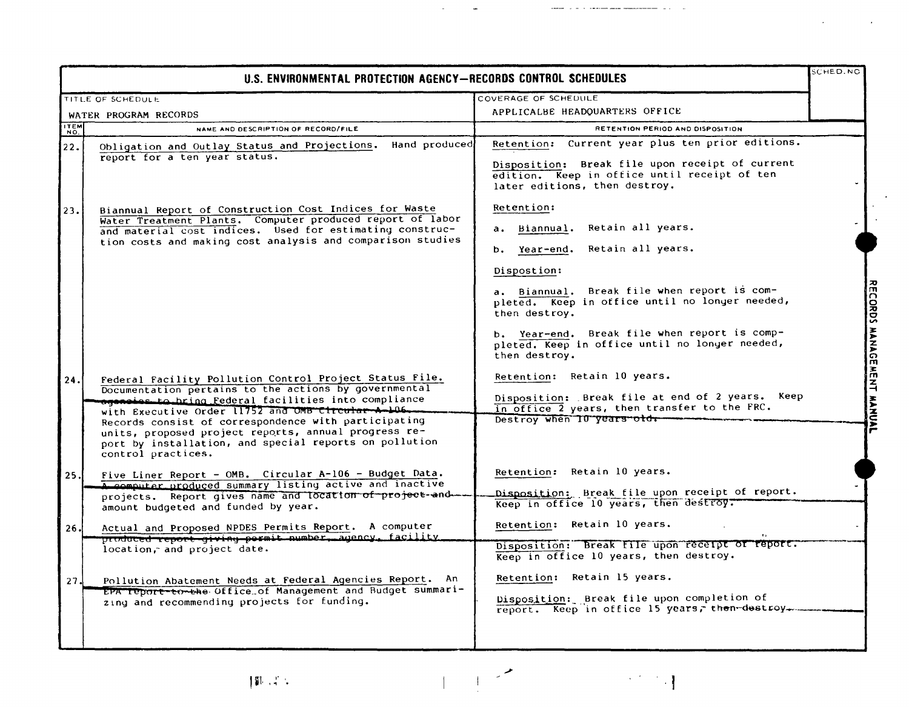|                    | U.S. ENVIRONMENTAL PROTECTION AGENCY-RECORDS CONTROL SCHEDULES                                                                                                                                                                                                                                                                                                                                                                 |                                                                                                                                                                                                                                                                                                                                    | <b>SCHED.NO</b>   |
|--------------------|--------------------------------------------------------------------------------------------------------------------------------------------------------------------------------------------------------------------------------------------------------------------------------------------------------------------------------------------------------------------------------------------------------------------------------|------------------------------------------------------------------------------------------------------------------------------------------------------------------------------------------------------------------------------------------------------------------------------------------------------------------------------------|-------------------|
|                    | TITLE OF SCHEDULE                                                                                                                                                                                                                                                                                                                                                                                                              | COVERAGE OF SCHEDULE                                                                                                                                                                                                                                                                                                               |                   |
|                    | WATER PROGRAM RECORDS                                                                                                                                                                                                                                                                                                                                                                                                          | APPLICALBE HEADQUARTERS OFFICE                                                                                                                                                                                                                                                                                                     |                   |
| <b>TTEM</b><br>NO. | NAME AND DESCRIPTION OF RECORD/FILE                                                                                                                                                                                                                                                                                                                                                                                            | RETENTION PERIOD AND DISPOSITION                                                                                                                                                                                                                                                                                                   |                   |
| 22.                | Hand produced<br>Obligation and Outlay Status and Projections.<br>report for a ten year status.                                                                                                                                                                                                                                                                                                                                | Retention: Current year plus ten prior editions.<br>Disposition: Break file upon receipt of current<br>edition. Keep in office until receipt of ten<br>later editions, then destroy.                                                                                                                                               |                   |
| 23.                | Biannual Report of Construction Cost Indices for Waste<br>Water Treatment Plants. Computer produced report of labor<br>and material cost indices. Used for estimating construc-<br>tion costs and making cost analysis and comparison studies                                                                                                                                                                                  | Retention:<br>a. Biannual. Retain all years.<br>b. Year-end. Retain all years.<br>Dispostion:<br>a. Biannual. Break file when report is com-<br>pleted. Keep in office until no longer needed,<br>then destroy.<br>b. Year-end. Break file when report is comp-<br>pleted. Keep in office until no longer needed,<br>then destroy. | COND<br>MANAGEME  |
| 24.                | Federal Facility Pollution Control Project Status File.<br>Documentation pertains to the actions by governmental<br>agencies to hring Federal facilities into compliance<br>with Executive Order 11752 and OMB Circular A-106.<br>Records consist of correspondence with participating<br>units, proposed project reports, annual progress re-<br>port by installation, and special reports on pollution<br>control practices. | Retention: Retain 10 years.<br>Disposition: Break file at end of 2 years. Keep<br>in office 2 years, then transfer to the FRC.<br>Destroy when 10 years old.                                                                                                                                                                       | Ë<br><b>MANAA</b> |
| 25.                | Five Liner Report - OMB. Circular A-106 - Budget Data.<br>A computer produced summary listing active and inactive<br>projects. Report gives name and location of project-and --<br>amount budgeted and funded by year.                                                                                                                                                                                                         | Retention: Retain 10 years.<br>Disposition: Break file upon receipt of report.<br>Keep in office 10 years, then destroy.                                                                                                                                                                                                           |                   |
| 26.                | Actual and Proposed NPDES Permits Report. A computer<br>produced report giving permit number, agency, facility<br>location, and project date.                                                                                                                                                                                                                                                                                  | Retention: Retain 10 years.<br>Disposition: Break file upon receipt or report.<br>Keep in office 10 years, then destroy.                                                                                                                                                                                                           |                   |
| 27.                | Pollution Abatement Needs at Federal Agencies Report. An<br>EPA report-to-the Office of Management and Budget summari-<br>zing and recommending projects for funding.                                                                                                                                                                                                                                                          | Retention: Retain 15 years.<br>Disposition: Break file upon completion of<br>report. Keep in office 15 years, then-destroy.                                                                                                                                                                                                        |                   |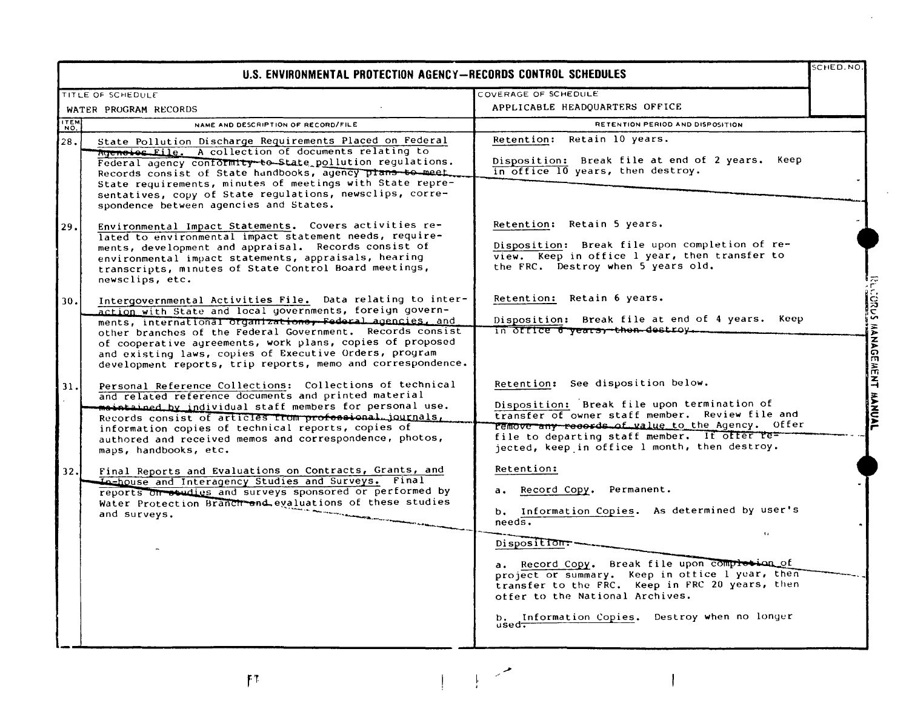|      | U.S. ENVIRONMENTAL PROTECTION AGENCY-RECORDS CONTROL SCHEDULES                                                                                                                                                                                                                                                                                                                                                                         |                                                                                                                                                                                                                                                                                                                                                                                                              | <b>SCHED.NO.</b>                                      |
|------|----------------------------------------------------------------------------------------------------------------------------------------------------------------------------------------------------------------------------------------------------------------------------------------------------------------------------------------------------------------------------------------------------------------------------------------|--------------------------------------------------------------------------------------------------------------------------------------------------------------------------------------------------------------------------------------------------------------------------------------------------------------------------------------------------------------------------------------------------------------|-------------------------------------------------------|
|      | TITLE OF SCHEDULE                                                                                                                                                                                                                                                                                                                                                                                                                      | COVERAGE OF SCHEDULE                                                                                                                                                                                                                                                                                                                                                                                         |                                                       |
|      | WATER PROGRAM RECORDS                                                                                                                                                                                                                                                                                                                                                                                                                  | APPLICABLE HEADQUARTERS OFFICE                                                                                                                                                                                                                                                                                                                                                                               |                                                       |
| ITEM | NAME AND DESCRIPTION OF RECORD/FILE                                                                                                                                                                                                                                                                                                                                                                                                    | RETENTION PERIOD AND DISPOSITION                                                                                                                                                                                                                                                                                                                                                                             |                                                       |
| 28.  | State Pollution Discharge Requirements Placed on Federal<br>Rgeneios File. A collection of documents relating to<br>Federal agency conformity to State pollution regulations.<br>Records consist of State handbooks, agency plans to meet.<br>State requirements, minutes of meetings with State repre-<br>sentatives, copy of State regulations, newsclips, corre-<br>spondence between agencies and States.                          | Retention: Retain 10 years.<br>Disposition: Break file at end of 2 years. Keep<br>in office 10 years, then destroy.                                                                                                                                                                                                                                                                                          |                                                       |
| 29.  | Environmental Impact Statements. Covers activities re-<br>lated to environmental impact statement needs, require-<br>ments, development and appraisal. Records consist of<br>environmental impact statements, appraisals, hearing<br>transcripts, minutes of State Control Board meetings,<br>newsclips, etc.                                                                                                                          | Retention: Retain 5 years.<br>Disposition: Break file upon completion of re-<br>view. Keep in office 1 year, then transfer to<br>the FRC. Destroy when 5 years old.                                                                                                                                                                                                                                          |                                                       |
| 30.  | Intergovernmental Activities File. Data relating to inter-<br>action with State and local governments, foreign govern-<br>ments, international organizations, Federal agencies, and<br>other branches of the Federal Government. Records consist<br>of cooperative agreements, work plans, copies of proposed<br>and existing laws, copies of Executive Orders, program<br>development reports, trip reports, memo and correspondence. | Retention: Retain 6 years.<br>Disposition: Break file at end of 4 years. Keep                                                                                                                                                                                                                                                                                                                                | $\overline{\frac{25}{5}}$<br><b>HANAG</b><br>ГП,<br>옺 |
| 31.  | Personal Reference Collections: Collections of technical<br>and related reference documents and printed material<br>meintained by individual staff members for personal use.<br>Records consist of articles from professional journals,<br>information copies of technical reports, copies of<br>authored and received memos and correspondence, photos,<br>maps, handbooks, etc.                                                      | Retention: See disposition below.<br>Disposition: Break file upon termination of<br>transfer of owner staff member. Review file and<br>remove any records of value to the Agency. Offer<br>file to departing staff member. If offer re=<br>jected, keep in office 1 month, then destroy.                                                                                                                     | $\mathbf{z}$                                          |
| 32.  | Final Reports and Evaluations on Contracts, Grants, and<br>In-house and Interagency Studies and Surveys. Final<br>reports on studies and surveys sponsored or performed by<br>Water Protection Branch and evaluations of these studies<br>and surveys.                                                                                                                                                                                 | Retention:<br>Record Copy. Permanent.<br>$a_{\bullet}$<br>b. Information Copies. As determined by user's<br>$need$ s.<br>$\mathbf{r}$ .<br>Disposition.<br>a. Record Copy. Break file upon complession of<br>project or summary. Keep in office I year, then<br>transfer to the FRC. Keep in FRC 20 years, then<br>offer to the National Archives.<br>b. Information Copies. Destroy when no longer<br>used. |                                                       |

 $F^{\dagger}$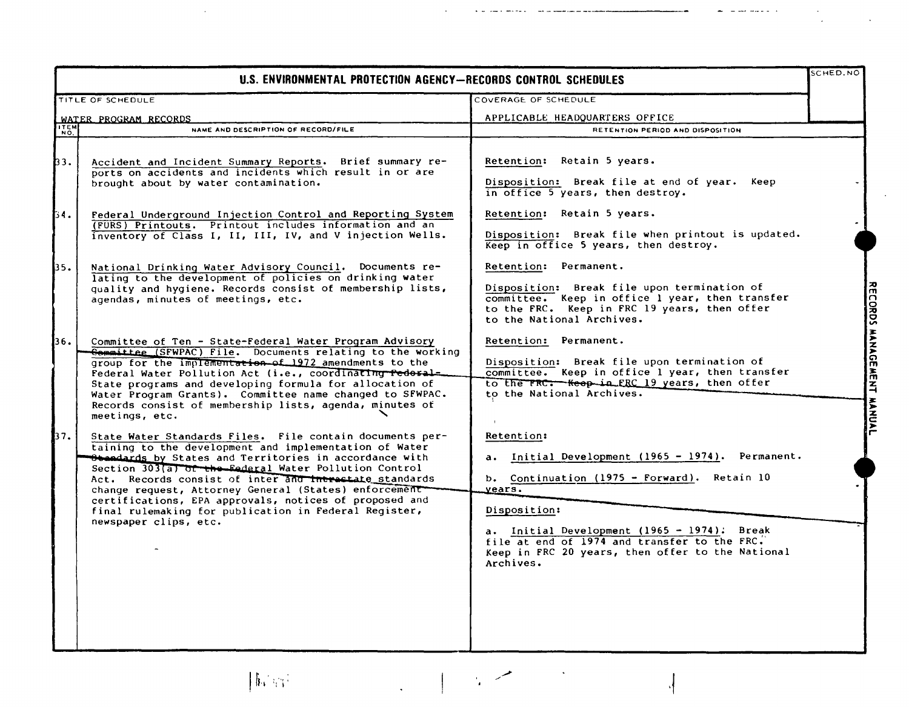|                    | U.S. ENVIRONMENTAL PROTECTION AGENCY-RECORDS CONTROL SCHEDULES                                                                                                                                                                                                                                                                                                                                                                                                                                        |                                                                                                                                                                                                                                                                                                                   | SCHED.NO                  |
|--------------------|-------------------------------------------------------------------------------------------------------------------------------------------------------------------------------------------------------------------------------------------------------------------------------------------------------------------------------------------------------------------------------------------------------------------------------------------------------------------------------------------------------|-------------------------------------------------------------------------------------------------------------------------------------------------------------------------------------------------------------------------------------------------------------------------------------------------------------------|---------------------------|
|                    | TITLE OF SCHEDULE                                                                                                                                                                                                                                                                                                                                                                                                                                                                                     | COVERAGE OF SCHEDULE                                                                                                                                                                                                                                                                                              |                           |
|                    | WATER PROGRAM RECORDS                                                                                                                                                                                                                                                                                                                                                                                                                                                                                 | APPLICABLE HEADQUARTERS OFFICE                                                                                                                                                                                                                                                                                    |                           |
| <b>ITEM</b><br>NO. | NAME AND DESCRIPTION OF RECORD/FILE                                                                                                                                                                                                                                                                                                                                                                                                                                                                   | RETENTION PERIOD AND DISPOSITION                                                                                                                                                                                                                                                                                  |                           |
| þз.                | Accident and Incident Summary Reports. Brief summary re-<br>ports on accidents and incidents which result in or are<br>brought about by water contamination.                                                                                                                                                                                                                                                                                                                                          | Retention: Retain 5 years.<br>Disposition: Break file at end of year. Keep<br>in office 5 years, then destroy.                                                                                                                                                                                                    |                           |
| 54.                | Federal Underground Injection Control and Reporting System<br>(FÜRS) Printouts. Printout includes information and an<br>inventory of Class I, II, III, IV, and V injection Wells.                                                                                                                                                                                                                                                                                                                     | Retention: Retain 5 years.<br>Disposition: Break file when printout is updated.<br>Keep in office 5 years, then destroy.                                                                                                                                                                                          |                           |
| 35.                | National Drinking Water Advisory Council. Documents re-<br>lating to the development of policies on drinking water<br>quality and hygiene. Records consist of membership lists,<br>agendas, minutes of meetings, etc.                                                                                                                                                                                                                                                                                 | Retention: Permanent.<br>Disposition: Break file upon termination of<br>committee. Keep in office 1 year, then transfer<br>to the FRC. Keep in FRC 19 years, then offer<br>to the National Archives.                                                                                                              |                           |
| 36.                | Committee of Ten - State-Federal Water Program Advisory<br><b>Committee (SFWPAC) File.</b> Documents relating to the working<br>group for the implementation of 1972 amendments to the<br>Federal Water Pollution Act (i.e., coordinating rederal-<br>State programs and developing formula for allocation of<br>Water Program Grants). Committee name changed to SFWPAC.<br>Records consist of membership lists, agenda, minutes of<br>meetings, etc.                                                | Retention: Permanent.<br>Disposition: Break file upon termination of<br>committee. Keep in office 1 year, then transfer<br>to the FRC: Keep in FRC 19 years, then offer<br>to the National Archives.                                                                                                              | RECORDS MANAGEMENT MANUAL |
| 37.                | State Water Standards Files. File contain documents per-<br>taining to the development and implementation of Water<br>Standards by States and Territories in accordance with<br>Section 303(a) of the Eederal Water Pollution Control<br>Act. Records consist of inter and interactate standards<br>change request, Attorney General (States) enforcement<br>certifications, EPA approvals, notices of proposed and<br>final rulemaking for publication in Federal Register,<br>newspaper clips, etc. | <b>Retention:</b><br>Initial Development (1965 - 1974).<br>Permanent.<br>b. Continuation $(1975 - Forward)$ . Retain 10<br>years.<br>Disposition:<br>a. Initial Development (1965 - 1974). Break<br>file at end of 1974 and transfer to the FRC.<br>Keep in FRC 20 years, then offer to the National<br>Archives. |                           |

 $\hat{\mathcal{A}}$ 

 $\ddot{\phantom{0}}$ 

والمستعلم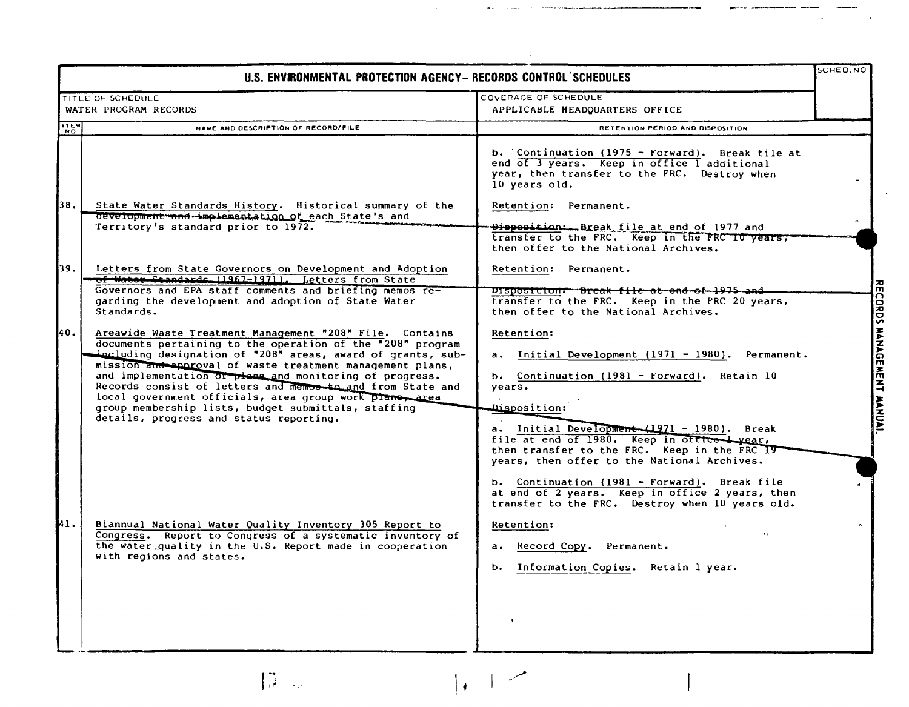|            | U.S. ENVIRONMENTAL PROTECTION AGENCY- RECORDS CONTROL SCHEDULES                                                                                                                                                                                                                                                                                                                                                                                                                                                                          |                                                                                                                                                                                                                                                                                                                                    | SCHED.NO |
|------------|------------------------------------------------------------------------------------------------------------------------------------------------------------------------------------------------------------------------------------------------------------------------------------------------------------------------------------------------------------------------------------------------------------------------------------------------------------------------------------------------------------------------------------------|------------------------------------------------------------------------------------------------------------------------------------------------------------------------------------------------------------------------------------------------------------------------------------------------------------------------------------|----------|
|            | TITLE OF SCHEDULE<br>WATER PROGRAM RECORDS                                                                                                                                                                                                                                                                                                                                                                                                                                                                                               | COVERAGE OF SCHEDULE<br>APPLICABLE HEADQUARTERS OFFICE                                                                                                                                                                                                                                                                             |          |
| <b>HEM</b> | NAME AND DESCRIPTION OF RECORD/FILE                                                                                                                                                                                                                                                                                                                                                                                                                                                                                                      | RETENTION PERIOD AND DISPOSITION                                                                                                                                                                                                                                                                                                   |          |
| 38.        | State Water Standards History. Historical summary of the                                                                                                                                                                                                                                                                                                                                                                                                                                                                                 | b. Continuation (1975 - Forward). Break file at<br>end of 3 years. Keep in office I additional<br>year, then transfer to the FRC. Destroy when<br>10 years old.<br>Retention: Permanent.                                                                                                                                           |          |
|            | development and implementation of each State's and<br>Territory's standard prior to 1972.                                                                                                                                                                                                                                                                                                                                                                                                                                                | Dioposition:Break file at end of 1977 and<br>transfer to the FRC. Keep in the FRC 10 years;<br>then offer to the National Archives.                                                                                                                                                                                                |          |
| 39.        | Letters from State Governors on Development and Adoption<br>of Water Standards (1967-1971). Letters from State<br>Governors and EPA staff comments and briefing memos re-                                                                                                                                                                                                                                                                                                                                                                | Retention: Permanent.<br>Disposition: Break-file-at-end-of-1975-and-                                                                                                                                                                                                                                                               |          |
|            | garding the development and adoption of State Water<br>Standards.                                                                                                                                                                                                                                                                                                                                                                                                                                                                        | transfer to the FRC. Keep in the FRC 20 years,<br>then offer to the National Archives.                                                                                                                                                                                                                                             |          |
| 40.        | Areawide Waste Treatment Management "208" File. Contains<br>documents pertaining to the operation of the "208" program<br>including designation of "208" areas, award of grants, sub-<br>mission and approval of waste treatment management plans,<br>and implementation of pleas and monitoring of progress.<br>Records consist of letters and memos-to and from State and<br>local government officials, area group work plane, area<br>group membership lists, budget submittals, staffing<br>details, progress and status reporting. | Retention:<br>a. Initial Development (1971 - 1980). Permanent.<br>b. Continuation (1981 - Forward). Retain 10<br>years.<br>Disposition:<br>a. Initial Development (1971 - 1980). Break<br>file at end of 1980. Keep in office year,<br>then transfer to the FRC. Keep in the FRC 19<br>years, then offer to the National Archives. |          |
| 41.        | Biannual National Water Quality Inventory 305 Report to<br>Congress. Report to Congress of a systematic inventory of<br>the water quality in the U.S. Report made in cooperation<br>with regions and states.                                                                                                                                                                                                                                                                                                                             | b. Continuation (1981 - Forward). Break file<br>at end of 2 years. Keep in office 2 years, then<br>transfer to the FRC. Destroy when 10 years old.<br>Retention:<br>a. Record Copy. Permanent.<br>b. Information Copies. Retain 1 year.                                                                                            |          |
|            |                                                                                                                                                                                                                                                                                                                                                                                                                                                                                                                                          |                                                                                                                                                                                                                                                                                                                                    |          |

 $\label{eq:1} \prod_{i=1}^{n-1} \frac{1}{\sqrt{2}} \leq \frac{1}{\sqrt{2}}.$ 

 $\frac{1}{2}$ 

 $\hat{\mathcal{A}}$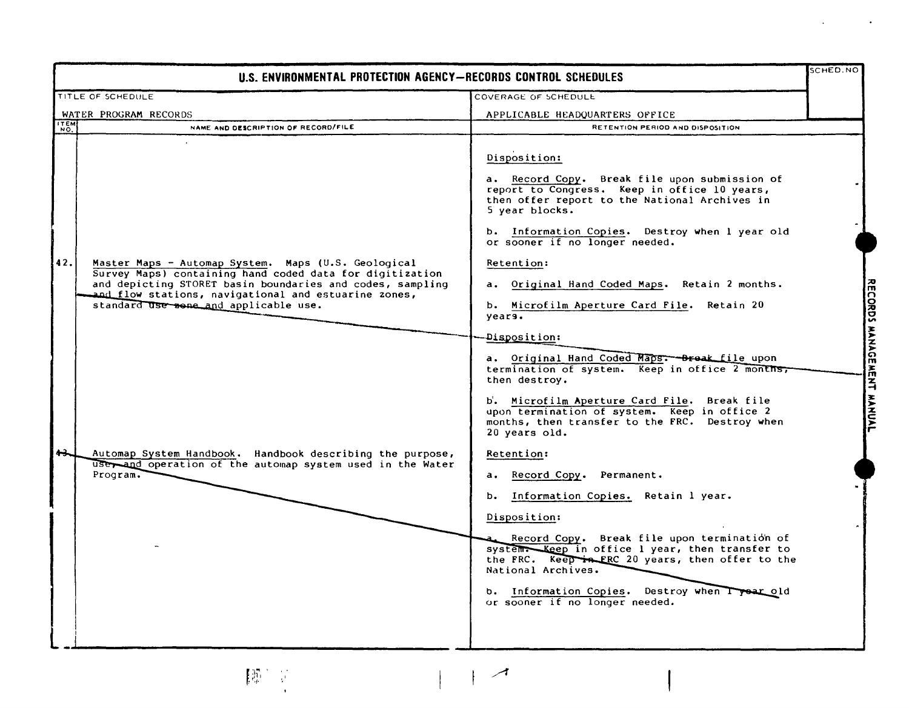| U.S. ENVIRONMENTAL PROTECTION AGENCY-RECORDS CONTROL SCHEDULES                                                                                                                                                                                                                                                                                                                                                                     |                                                                                                                                                                                                                                                                                                                                                                                                                                                                                                                                                                                                                                                                                                                                                                                                                                                                                                                                                                                                                                                                                   | SCHED.NO                                                                           |
|------------------------------------------------------------------------------------------------------------------------------------------------------------------------------------------------------------------------------------------------------------------------------------------------------------------------------------------------------------------------------------------------------------------------------------|-----------------------------------------------------------------------------------------------------------------------------------------------------------------------------------------------------------------------------------------------------------------------------------------------------------------------------------------------------------------------------------------------------------------------------------------------------------------------------------------------------------------------------------------------------------------------------------------------------------------------------------------------------------------------------------------------------------------------------------------------------------------------------------------------------------------------------------------------------------------------------------------------------------------------------------------------------------------------------------------------------------------------------------------------------------------------------------|------------------------------------------------------------------------------------|
| TITLE OF SCHEDULE                                                                                                                                                                                                                                                                                                                                                                                                                  | COVERAGE OF SCHEDULE                                                                                                                                                                                                                                                                                                                                                                                                                                                                                                                                                                                                                                                                                                                                                                                                                                                                                                                                                                                                                                                              |                                                                                    |
| WATER PROGRAM RECORDS                                                                                                                                                                                                                                                                                                                                                                                                              | APPLICABLE HEADQUARTERS OFFICE                                                                                                                                                                                                                                                                                                                                                                                                                                                                                                                                                                                                                                                                                                                                                                                                                                                                                                                                                                                                                                                    |                                                                                    |
| <b>TEM</b><br>NAME AND DESCRIPTION OF RECORD/FILE                                                                                                                                                                                                                                                                                                                                                                                  | RETENTION PERIOD AND DISPOSITION                                                                                                                                                                                                                                                                                                                                                                                                                                                                                                                                                                                                                                                                                                                                                                                                                                                                                                                                                                                                                                                  |                                                                                    |
| 42.<br>Master Maps - Automap System. Maps (U.S. Geological<br>Survey Maps) containing hand coded data for digitization<br>and depicting STORET basin boundaries and codes, sampling<br>and flow stations, navigational and estuarine zones,<br>standard use sene and applicable use.<br>حصه<br>Automap System Handbook. Handbook describing the purpose,<br>user and operation of the automap system used in the Water<br>Program. | Disposition:<br>a. Record Copy. Break file upon submission of<br>report to Congress. Keep in office 10 years,<br>then offer report to the National Archives in<br>5 year blocks.<br>b. Information Copies. Destroy when I year old<br>or sooner if no longer needed.<br>Retention:<br>a. Original Hand Coded Maps. Retain 2 months.<br>b. Microfilm Aperture Card File. Retain 20<br>years.<br>Disposition:<br>a. Original Hand Coded Maps: - Break file upon<br>termination of system. Keep in office 2 months,<br>then destroy.<br>b. Microfilm Aperture Card File. Break file<br>upon termination of system. Keep in office 2<br>months, then transfer to the FRC. Destroy when<br>20 years old.<br>Retention:<br>Record Copy.<br>Permanent.<br>а.<br>Information Copies. Retain 1 year.<br>b.<br>Disposition:<br>Record Copy. Break file upon termination of<br>system. Keep in office 1 year, then transfer to<br>the FRC. Keep in FRC 20 years, then offer to the<br>National Archives.<br>b. Information Copies. Destroy when I year old<br>or sooner if no longer needed. | <b>RECORDS</b><br><b>MANAGE</b><br>$\frac{2}{m}$<br>$\overline{4}$<br><b>HANNL</b> |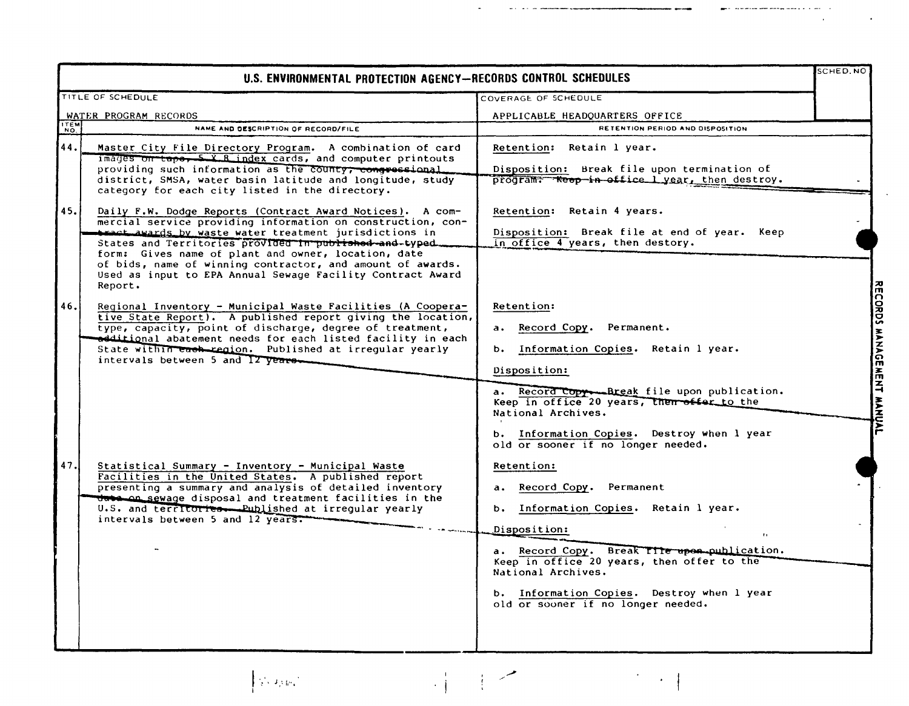|      | U.S. ENVIRONMENTAL PROTECTION AGENCY-RECORDS CONTROL SCHEDULES                                                                                                                                                                                                                                                                                                                                                                                     |                                                                                                                                                                                                                                                                                                                           | SCHED, NO                 |
|------|----------------------------------------------------------------------------------------------------------------------------------------------------------------------------------------------------------------------------------------------------------------------------------------------------------------------------------------------------------------------------------------------------------------------------------------------------|---------------------------------------------------------------------------------------------------------------------------------------------------------------------------------------------------------------------------------------------------------------------------------------------------------------------------|---------------------------|
|      | TITLE OF SCHEDULE                                                                                                                                                                                                                                                                                                                                                                                                                                  | COVERAGE OF SCHEDULE                                                                                                                                                                                                                                                                                                      |                           |
|      | WATER PROGRAM RECORDS                                                                                                                                                                                                                                                                                                                                                                                                                              | APPLICABLE HEADQUARTERS OFFICE                                                                                                                                                                                                                                                                                            |                           |
| TTEM | NAME AND DESCRIPTION OF RECORD/FILE                                                                                                                                                                                                                                                                                                                                                                                                                | RETENTION PERIOD AND DISPOSITION                                                                                                                                                                                                                                                                                          |                           |
| 44.  | Master City File Directory Program. A combination of card<br>images on tape, 5 X R index cards, and computer printouts<br>providing such information as the county, congressional<br>district, SMSA, water basin latitude and longitude, study<br>category for each city listed in the directory.                                                                                                                                                  | Retention: Retain 1 year.<br>Disposition: Break file upon termination of<br>program: Reep in office I year, then destroy.                                                                                                                                                                                                 |                           |
| 45.  | Daily F.W. Dodge Reports (Contract Award Notices). A com-<br>mercial service providing information on construction, con-<br><b>Axact awards by waste water treatment jurisdictions in</b><br>States and Territories provided in published and-typed.<br>form: Gives name of plant and owner, location, date<br>of bids, name of winning contractor, and amount of awards.<br>Used as input to EPA Annual Sewage Facility Contract Award<br>Report. | Retention: Retain 4 years.<br>Disposition: Break file at end of year. Keep<br>in office 4 years, then destory.                                                                                                                                                                                                            |                           |
| 46.  | Regional Inventory - Municipal Waste Facilities (A Coopera-<br>tive State Report). A published report giving the location,<br>type, capacity, point of discharge, degree of treatment,<br>additional abatement needs for each listed facility in each<br>State within each region. Published at irregular yearly<br>intervals between 5 and 12 years-                                                                                              | Retention:<br>a. Record Copy. Permanent.<br>b. Information Copies. Retain 1 year.<br>Disposition:<br>a. Record Copy Break file upon publication.<br>Keep in office 20 years, then offer to the<br>National Archives.<br>b. Information Copies. Destroy when 1 year<br>old or sooner if no longer needed.                  | RECORDS MANAGEMENT MANUAL |
| 47.  | Statistical Summary - Inventory - Municipal Waste<br>Facilities in the United States. A published report<br>presenting a summary and analysis of detailed inventory<br><del>data on sew</del> age disposal and treatment facilities in the<br>U.S. and territories. Published at irregular yearly<br>intervals between 5 and 12 years.                                                                                                             | Retention:<br>Record Copy.<br>Permanent<br>$a_{\bullet}$<br>b. Information Copies. Retain 1 year.<br>Disposition:<br>a. Record Copy. Break Tile upon publication.<br>Keep in office 20 years, then offer to the<br>National Archives.<br>b. Information Copies. Destroy when 1 year<br>old or sooner if no longer needed. |                           |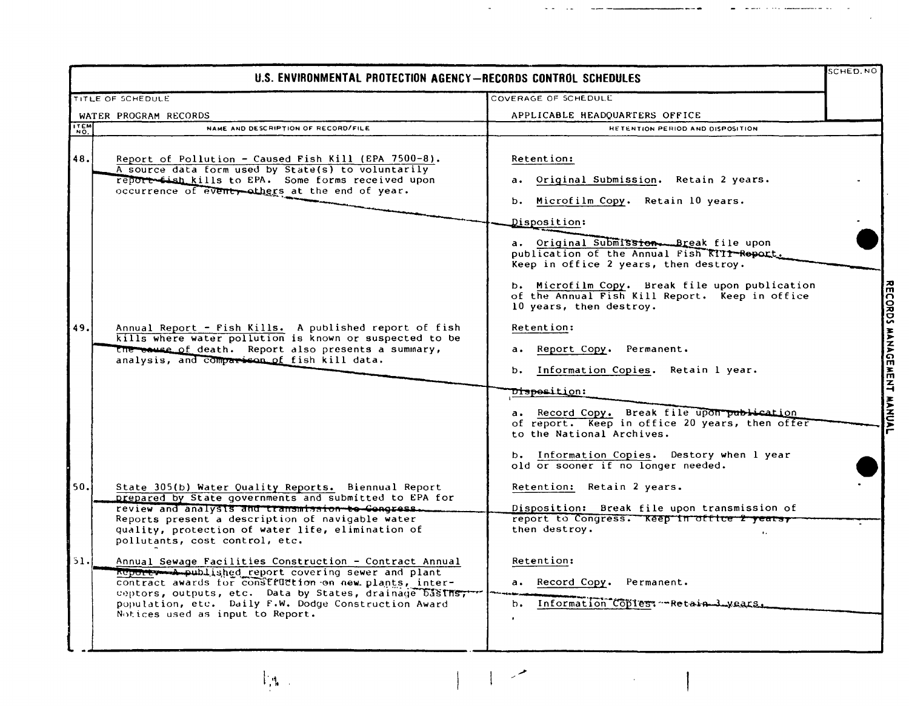|                                                                     | U.S. ENVIRONMENTAL PROTECTION AGENCY-RECORDS CONTROL SCHEDULES                                                                                                                                                                                                                                                |                                                                                                                                                                                                                                                                                                                                            | SCHED.NO                  |
|---------------------------------------------------------------------|---------------------------------------------------------------------------------------------------------------------------------------------------------------------------------------------------------------------------------------------------------------------------------------------------------------|--------------------------------------------------------------------------------------------------------------------------------------------------------------------------------------------------------------------------------------------------------------------------------------------------------------------------------------------|---------------------------|
| COVERAGE OF SCHEDULE<br>TITLE OF SCHEDULE                           |                                                                                                                                                                                                                                                                                                               |                                                                                                                                                                                                                                                                                                                                            |                           |
| WATER PROGRAM RECORDS                                               |                                                                                                                                                                                                                                                                                                               | APPLICABLE HEADQUARTERS OFFICE                                                                                                                                                                                                                                                                                                             |                           |
| $\begin{bmatrix} 1 & 1 & 1 \\ 1 & 0 & 1 \\ 0 & 0 & 1 \end{bmatrix}$ | NAME AND DESCRIPTION OF RECORD/FILE                                                                                                                                                                                                                                                                           | <b>HETENTION PERIOD AND DISPOSITION</b>                                                                                                                                                                                                                                                                                                    |                           |
| 48.                                                                 | Report of Pollution - Caused Fish Kill (EPA 7500-8).<br>A source data form used by State(s) to voluntarily<br>report tish kills to EPA. Some forms received upon<br>occurrence of eventy others at the end of year.                                                                                           | Retention:<br>Original Submission. Retain 2 years.<br>$a \cdot$<br>Microfilm Copy. Retain 10 years.<br>b.                                                                                                                                                                                                                                  |                           |
|                                                                     |                                                                                                                                                                                                                                                                                                               | Disposition:<br>a. Original Submission. Break file upon<br>publication of the Annual Fish KIII-Report.<br>Keep in office 2 years, then destroy.<br>b. Microfilm Copy. Break file upon publication<br>of the Annual Fish Kill Report. Keep in office<br>10 years, then destroy.                                                             |                           |
| 49.                                                                 | Annual Report - Fish Kills. A published report of fish<br>kills where water pollution is known or suspected to be<br>the cause of death. Report also presents a summary,<br>analysis, and comparison of fish kill data.                                                                                       | <b>Retention:</b><br>Report Copy. Permanent.<br>а.<br>b. Information Copies. Retain 1 year.<br>D <del>ispos</del> ition:<br>a. Record Copy. Break file upon publication<br>of report. Keep in office 20 years, then offer<br>to the National Archives.<br>b. Information Copies. Destory when 1 year<br>old or sooner if no longer needed. | RECORDS MANAGEMENT MANUAL |
| 50.                                                                 | State 305(b) Water Quality Reports. Biennual Report<br>prepared by State governments and submitted to EPA for<br>review and analysis and transmission to Congress.<br>Reports present a description of navigable water<br>quality, protection of water life, elimination of<br>pollutants, cost control, etc. | Retention: Retain 2 years.<br>Disposition: Break file upon transmission of<br>report to Congress. Keep in office 2 years,<br>then destroy.<br>$\ddot{\phantom{a}}$                                                                                                                                                                         |                           |
| 51.                                                                 | Annual Sewage Facilities Construction - Contract Annual<br>Report memberships and plant<br>contract awards for construction on new plants, inter-<br>ceptors, outputs, etc. Data by States, drainage basins,<br>population, etc. Daily F.W. Dodge Construction Award<br>Notices used as input to Report.      | Retention:<br>a. Record Copy. Permanent.<br>b. Information Copies: Retain J years                                                                                                                                                                                                                                                          |                           |

. .

 $\mathbb{F}_4$  .  $\overline{a}$  $\mathbf{I}$ 

 $\mathbf{I}$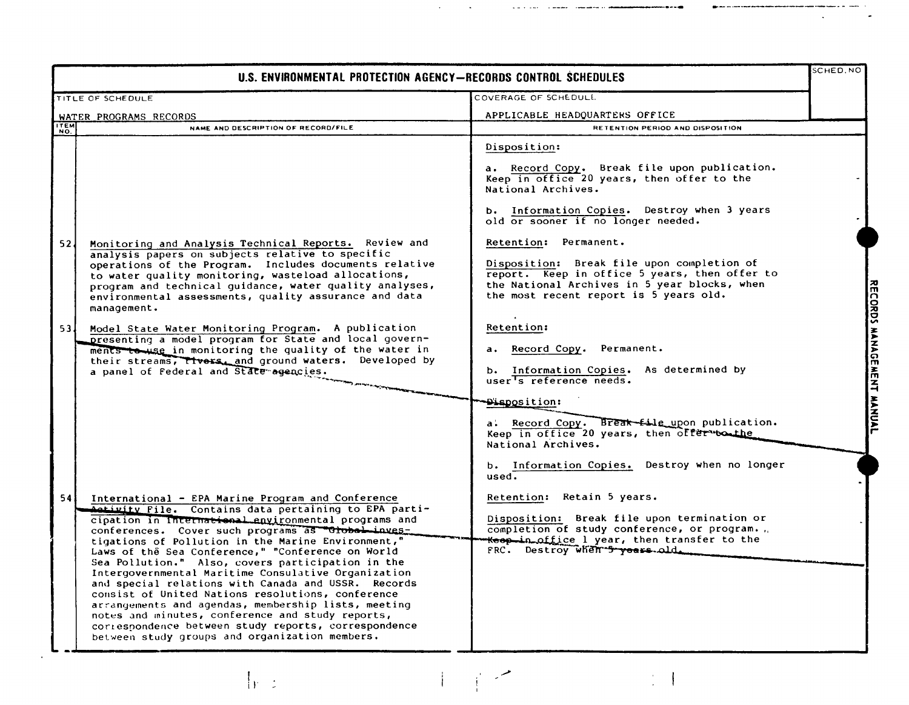| U.S. ENVIRONMENTAL PROTECTION AGENCY-RECORDS CONTROL SCHEDULES |                                                                                                                                                                                                                                                                                                                                                                                                                                                                                                                                                                                                                                                                                                                                                                                        |                                                                                                                                                                                                                                                                                                                                                                                                                                         |                                                     |
|----------------------------------------------------------------|----------------------------------------------------------------------------------------------------------------------------------------------------------------------------------------------------------------------------------------------------------------------------------------------------------------------------------------------------------------------------------------------------------------------------------------------------------------------------------------------------------------------------------------------------------------------------------------------------------------------------------------------------------------------------------------------------------------------------------------------------------------------------------------|-----------------------------------------------------------------------------------------------------------------------------------------------------------------------------------------------------------------------------------------------------------------------------------------------------------------------------------------------------------------------------------------------------------------------------------------|-----------------------------------------------------|
|                                                                | TITLE OF SCHEDULE                                                                                                                                                                                                                                                                                                                                                                                                                                                                                                                                                                                                                                                                                                                                                                      | COVERAGE OF SCHEDULL                                                                                                                                                                                                                                                                                                                                                                                                                    |                                                     |
| WATER PROGRAMS RECORDS                                         |                                                                                                                                                                                                                                                                                                                                                                                                                                                                                                                                                                                                                                                                                                                                                                                        | APPLICABLE HEADQUARTERS OFFICE                                                                                                                                                                                                                                                                                                                                                                                                          |                                                     |
| ITEM                                                           | NAME AND DESCRIPTION OF RECORD/FILE                                                                                                                                                                                                                                                                                                                                                                                                                                                                                                                                                                                                                                                                                                                                                    | RETENTION PERIOD AND DISPOSITION                                                                                                                                                                                                                                                                                                                                                                                                        |                                                     |
| 52 <sub>1</sub>                                                | Monitoring and Analysis Technical Reports. Review and<br>analysis papers on subjects relative to specific<br>operations of the Program. Includes documents relative<br>to water quality monitoring, wasteload allocations,<br>program and technical guidance, water quality analyses,                                                                                                                                                                                                                                                                                                                                                                                                                                                                                                  | Disposition:<br>a. Record Copy. Break file upon publication.<br>Keep in office 20 years, then offer to the<br>National Archives.<br>b. Information Copies. Destroy when 3 years<br>old or sooner if no longer needed.<br>Retention: Permanent.<br>Disposition: Break file upon completion of<br>report. Keep in office 5 years, then offer to<br>the National Archives in 5 year blocks, when<br>the most recent report is 5 years old. | $\frac{1}{2}$                                       |
| 53 <sub>1</sub>                                                | environmental assessments, quality assurance and data<br>management.<br>Model State Water Monitoring Program. A publication<br>presenting a model program for State and local govern-<br>ments to use in monitoring the quality of the water in<br>their streams, Tivers, and ground waters. Developed by<br>a panel of Federal and State agencies.                                                                                                                                                                                                                                                                                                                                                                                                                                    | Retention:<br>Record Copy. Permanent.<br>a.<br>b. Information Copies. As determined by user <sup>T</sup> s reference needs.<br>Disposition:<br>a. Record Copy. Break file upon publication.<br>Keep in office 20 years, then offer bothe<br>National Archives.                                                                                                                                                                          | <b>CORDS</b><br><b>MANACE</b><br>孟子<br><b>WANDA</b> |
|                                                                |                                                                                                                                                                                                                                                                                                                                                                                                                                                                                                                                                                                                                                                                                                                                                                                        | b. Information Copies. Destroy when no longer<br>used.                                                                                                                                                                                                                                                                                                                                                                                  |                                                     |
| 54                                                             | International - EPA Marine Program and Conference<br><b>Activity File.</b> Contains data pertaining to EPA parti-<br>cipation in International environmental programs and<br>conferences. Cover such programs as drobal inves-<br>tigations of Pollution in the Marine Environment,"<br>Laws of the Sea Conference," "Conference on World<br>Sea Pollution." Also, covers participation in the<br>Intergovernmental Maritime Consulative Organization<br>and special relations with Canada and USSR. Records<br>consist of United Nations resolutions, conference<br>arrangements and agendas, membership lists, meeting<br>notes and minutes, conference and study reports,<br>correspondence between study reports, correspondence<br>between study groups and organization members. | Retention: Retain 5 years.<br>Disposition: Break file upon termination or<br>completion of study conference, or program.<br><del>Koop in office</del> 1 year, then transfer to the<br>FRC. Destroy when 5 years old.                                                                                                                                                                                                                    |                                                     |

 $\begin{array}{c} \begin{array}{c} \begin{array}{c} \end{array} \\ \begin{array}{c} \end{array} \end{array} \end{array}$ 

 $\frac{1}{2}$  .

I i)'

·---- .---- ..---

 $\frac{1}{2}$ 

**Contract Contract Advised**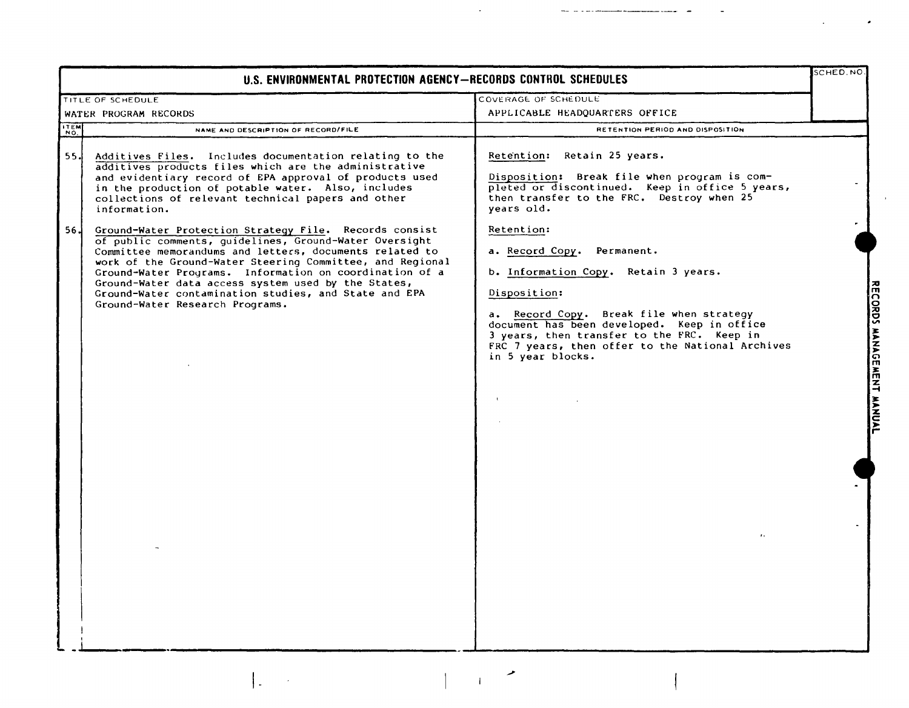| U.S. ENVIRONMENTAL PROTECTION AGENCY-RECORDS CONTROL SCHEDULES                                                                                                                                                                                                                                                                                                                                                                                                                                                                                                                                                                                                                                                                                                                    |                                                                                                                                                                                                                                                                                                                                                                                                                                                                                                                    |  |  |
|-----------------------------------------------------------------------------------------------------------------------------------------------------------------------------------------------------------------------------------------------------------------------------------------------------------------------------------------------------------------------------------------------------------------------------------------------------------------------------------------------------------------------------------------------------------------------------------------------------------------------------------------------------------------------------------------------------------------------------------------------------------------------------------|--------------------------------------------------------------------------------------------------------------------------------------------------------------------------------------------------------------------------------------------------------------------------------------------------------------------------------------------------------------------------------------------------------------------------------------------------------------------------------------------------------------------|--|--|
| TITLE OF SCHEDULE                                                                                                                                                                                                                                                                                                                                                                                                                                                                                                                                                                                                                                                                                                                                                                 | COVERAGE OF SCHEDULE                                                                                                                                                                                                                                                                                                                                                                                                                                                                                               |  |  |
| WATER PROGRAM RECORDS                                                                                                                                                                                                                                                                                                                                                                                                                                                                                                                                                                                                                                                                                                                                                             | APPLICABLE HEADQUARTERS OFFICE                                                                                                                                                                                                                                                                                                                                                                                                                                                                                     |  |  |
| <b>TEM</b><br>NAME AND DESCRIPTION OF RECORD/FILE                                                                                                                                                                                                                                                                                                                                                                                                                                                                                                                                                                                                                                                                                                                                 | RETENTION PERIOD AND DISPOSITION                                                                                                                                                                                                                                                                                                                                                                                                                                                                                   |  |  |
| 55.<br>Additives Files. Includes documentation relating to the<br>additives products files which are the administrative<br>and evidentiary record of EPA approval of products used<br>in the production of potable water. Also, includes<br>collections of relevant technical papers and other<br>information.<br>-56 J<br>Ground-Water Protection Strategy File. Records consist<br>of public comments, guidelines, Ground-Water Oversight<br>Committee memorandums and letters, documents related to<br>work of the Ground-Water Steering Committee, and Regional<br>Ground-Water Programs. Information on coordination of a<br>Ground-Water data access system used by the States,<br>Ground-Water contamination studies, and State and EPA<br>Ground-Water Research Programs. | Retention: Retain 25 years.<br>Disposition: Break file when program is com-<br>pleted or discontinued. Keep in office 5 years,<br>then transfer to the FRC. Destroy when 25<br>years old.<br>Retention:<br>a. Record Copy.<br>Permanent.<br>b. Information Copy. Retain 3 years.<br>Disposition:<br>a. Record Copy. Break file when strategy<br>document has been developed. Keep in office<br>3 years, then transfer to the FRC. Keep in<br>FRC 7 years, then offer to the National Archives<br>in 5 year blocks. |  |  |

 $\mathcal{L}(\mathcal{A})$  and  $\mathcal{L}(\mathcal{A})$  .

 $\sim$  -  $\sim$  -  $\sim$ 

— 1112 —

 $\pmb{r}$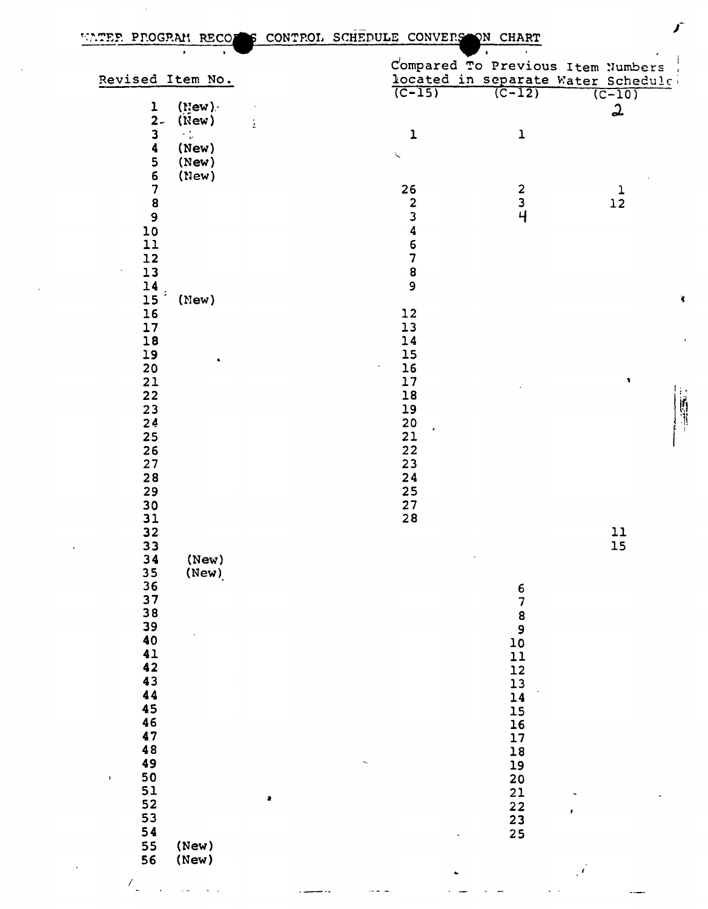$\sim$ 

 $\sim$ 

 $\Delta \sim 10^4$ 

<u> 1950 - Johann Store Barbara (j. 1940)</u>

| $\bullet$<br>$\mathbf{A}$ .                 |                   | $\bullet$                                  | $\sigma$ .<br>Compared To Previous Item Numbers |
|---------------------------------------------|-------------------|--------------------------------------------|-------------------------------------------------|
| Revised Item No.                            |                   |                                            | located in separate Water Schedule              |
|                                             | $(C-15)$          | $\sqrt{(C-12)}$                            | $(C-10)$                                        |
| $($ New $).$                                |                   |                                            |                                                 |
| $\frac{1}{2}$                               |                   |                                            | $\boldsymbol{\omega}$                           |
| $(\mathbf{New})$<br>ż                       |                   |                                            |                                                 |
| $\frac{3}{4}$<br>$\sim$ $^{\prime}_{\rm p}$ | $\mathbf 1$       | $\mathbf 1$                                |                                                 |
| (New)                                       | $\zeta$           |                                            |                                                 |
| (New)                                       |                   |                                            |                                                 |
| 5<br>6<br>7<br>8<br>9<br>9<br>0<br>(New)    |                   |                                            |                                                 |
|                                             | 26                |                                            |                                                 |
|                                             |                   | $\begin{array}{c} 2 \\ 3 \\ 4 \end{array}$ | $\frac{1}{12}$                                  |
|                                             | 2346789           |                                            |                                                 |
|                                             |                   |                                            |                                                 |
| 11                                          |                   |                                            |                                                 |
|                                             |                   |                                            |                                                 |
| 12                                          |                   |                                            |                                                 |
| $13\,$                                      |                   |                                            |                                                 |
| 14                                          |                   |                                            |                                                 |
| (New)<br>15                                 |                   |                                            | $\blacktriangleleft$                            |
| $16$                                        | $12$              |                                            |                                                 |
| $17$                                        | 13                |                                            |                                                 |
| $18$                                        | 14                |                                            |                                                 |
| 19                                          | $15\,$            |                                            |                                                 |
| ٠<br>$20\,$                                 | $16$<br>$\bullet$ |                                            |                                                 |
|                                             |                   |                                            | $\pmb{\gamma}$                                  |
| $21$                                        | $\frac{17}{1}$    |                                            |                                                 |
| 22                                          | ${\bf 18}$        |                                            |                                                 |
| 23                                          | 19                |                                            |                                                 |
| 24                                          | 20<br>21          |                                            |                                                 |
| 25                                          |                   |                                            |                                                 |
| 26                                          | 22                |                                            |                                                 |
| 27                                          | 23                |                                            |                                                 |
| 28                                          | 24                |                                            |                                                 |
| 29                                          | 25                |                                            |                                                 |
| $30$                                        | 27                |                                            |                                                 |
|                                             | 28                |                                            |                                                 |
| $\begin{array}{c} 31 \\ 32 \end{array}$     |                   |                                            |                                                 |
|                                             |                   |                                            | 11                                              |
| 33                                          |                   |                                            | 15                                              |
| 34<br>(New)                                 |                   |                                            |                                                 |
| (New)<br>35<br>36                           |                   |                                            |                                                 |
|                                             |                   |                                            |                                                 |
| 37                                          |                   | 6789                                       |                                                 |
| 38                                          |                   |                                            |                                                 |
| 39                                          |                   |                                            |                                                 |
| 40                                          |                   | $10\,$                                     |                                                 |
| 41                                          |                   | 11                                         |                                                 |
| 42                                          |                   | 12                                         |                                                 |
| 43                                          |                   |                                            |                                                 |
| 44                                          |                   | 13                                         |                                                 |
|                                             |                   | 14                                         |                                                 |
| 45                                          |                   | 15                                         |                                                 |
| 46                                          |                   | 16                                         |                                                 |
| 47                                          |                   | 17                                         |                                                 |
| 48                                          |                   | ${\bf 18}$                                 |                                                 |
| 49                                          |                   | 19                                         |                                                 |
| ${\bf 50}$<br>$\mathbf{V}$                  |                   | 20                                         |                                                 |
| 51                                          |                   | 21                                         |                                                 |
| $\bullet$<br>52                             |                   |                                            |                                                 |
|                                             |                   | $22$                                       | r                                               |
| 53                                          |                   | $\frac{23}{25}$                            |                                                 |
| 54                                          |                   |                                            |                                                 |
| 55<br>(New)                                 |                   |                                            |                                                 |
| 56<br>(New)                                 |                   |                                            |                                                 |
|                                             | ٠                 |                                            | $\vec{r}$                                       |

 $\label{eq:2.1} \begin{split} \mathcal{L}_{\text{max}}(\mathbf{r}) = \mathcal{L}_{\text{max}}(\mathbf{r}) \mathcal{L}_{\text{max}}(\mathbf{r}) \mathcal{L}_{\text{max}}(\mathbf{r}) \mathcal{L}_{\text{max}}(\mathbf{r}) \mathcal{L}_{\text{max}}(\mathbf{r}) \mathcal{L}_{\text{max}}(\mathbf{r}) \mathcal{L}_{\text{max}}(\mathbf{r}) \mathcal{L}_{\text{max}}(\mathbf{r}) \mathcal{L}_{\text{max}}(\mathbf{r}) \mathcal{L}_{\text{max}}(\mathbf{r}) \mathcal{L}_{\text{max}}(\mathbf{r}) \$ 

المالية المراد

 $\omega_{\rm{max}}$ 

 $\frac{1}{2}$